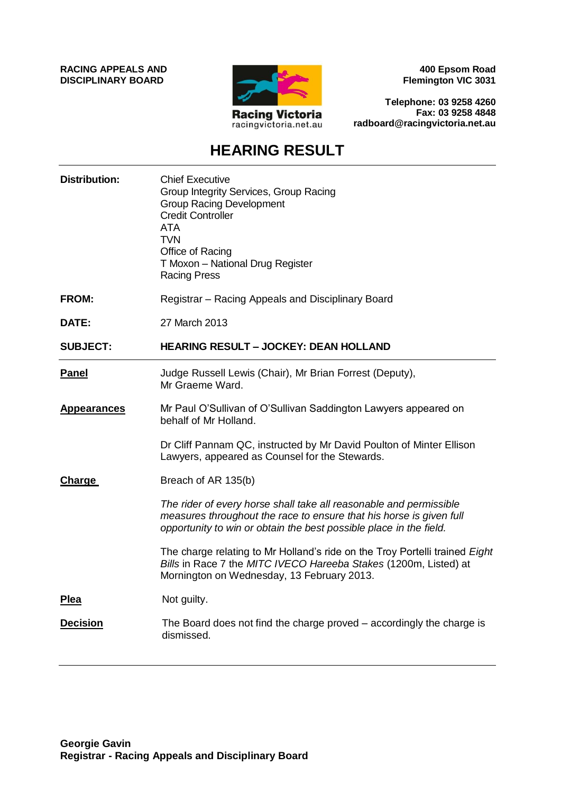**RACING APPEALS AND DISCIPLINARY BOARD**



**400 Epsom Road Flemington VIC 3031**

**Telephone: 03 9258 4260 Fax: 03 9258 4848 radboard@racingvictoria.net.au**

# **HEARING RESULT**

| <b>Distribution:</b> | <b>Chief Executive</b><br>Group Integrity Services, Group Racing<br><b>Group Racing Development</b><br><b>Credit Controller</b><br><b>ATA</b><br><b>TVN</b><br>Office of Racing<br>T Moxon - National Drug Register<br><b>Racing Press</b> |
|----------------------|--------------------------------------------------------------------------------------------------------------------------------------------------------------------------------------------------------------------------------------------|
| <b>FROM:</b>         | Registrar – Racing Appeals and Disciplinary Board                                                                                                                                                                                          |
| DATE:                | 27 March 2013                                                                                                                                                                                                                              |
| <b>SUBJECT:</b>      | <b>HEARING RESULT - JOCKEY: DEAN HOLLAND</b>                                                                                                                                                                                               |
| <b>Panel</b>         | Judge Russell Lewis (Chair), Mr Brian Forrest (Deputy),<br>Mr Graeme Ward.                                                                                                                                                                 |
| <b>Appearances</b>   | Mr Paul O'Sullivan of O'Sullivan Saddington Lawyers appeared on<br>behalf of Mr Holland.                                                                                                                                                   |
|                      | Dr Cliff Pannam QC, instructed by Mr David Poulton of Minter Ellison<br>Lawyers, appeared as Counsel for the Stewards.                                                                                                                     |
| <b>Charge</b>        | Breach of AR 135(b)                                                                                                                                                                                                                        |
|                      | The rider of every horse shall take all reasonable and permissible<br>measures throughout the race to ensure that his horse is given full<br>opportunity to win or obtain the best possible place in the field.                            |
|                      | The charge relating to Mr Holland's ride on the Troy Portelli trained Eight<br>Bills in Race 7 the MITC IVECO Hareeba Stakes (1200m, Listed) at<br>Mornington on Wednesday, 13 February 2013.                                              |
| Plea                 | Not guilty.                                                                                                                                                                                                                                |
| <b>Decision</b>      | The Board does not find the charge proved – accordingly the charge is<br>dismissed.                                                                                                                                                        |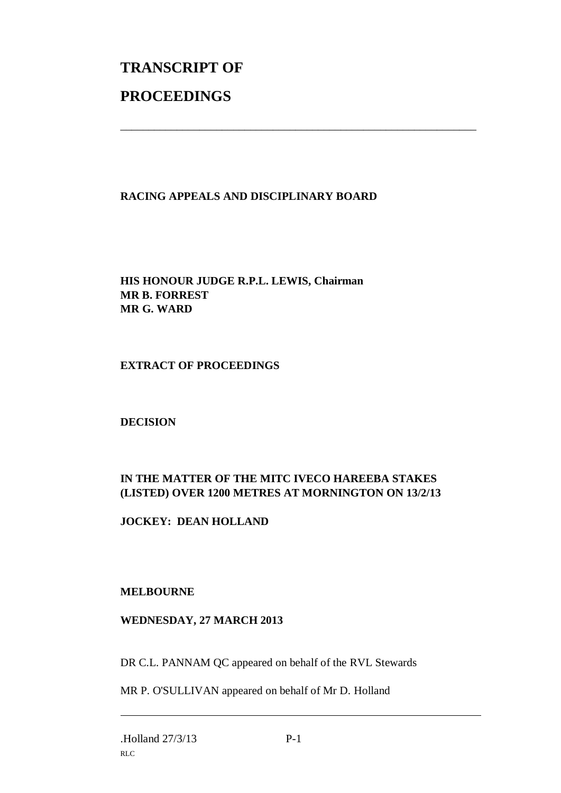# **TRANSCRIPT OF PROCEEDINGS**

### **RACING APPEALS AND DISCIPLINARY BOARD**

\_\_\_\_\_\_\_\_\_\_\_\_\_\_\_\_\_\_\_\_\_\_\_\_\_\_\_\_\_\_\_\_\_\_\_\_\_\_\_\_\_\_\_\_\_\_\_\_\_\_\_\_\_\_\_\_\_\_\_\_\_\_\_

**HIS HONOUR JUDGE R.P.L. LEWIS, Chairman MR B. FORREST MR G. WARD**

#### **EXTRACT OF PROCEEDINGS**

**DECISION**

## **IN THE MATTER OF THE MITC IVECO HAREEBA STAKES (LISTED) OVER 1200 METRES AT MORNINGTON ON 13/2/13**

**JOCKEY: DEAN HOLLAND**

#### **MELBOURNE**

#### **WEDNESDAY, 27 MARCH 2013**

DR C.L. PANNAM QC appeared on behalf of the RVL Stewards

MR P. O'SULLIVAN appeared on behalf of Mr D. Holland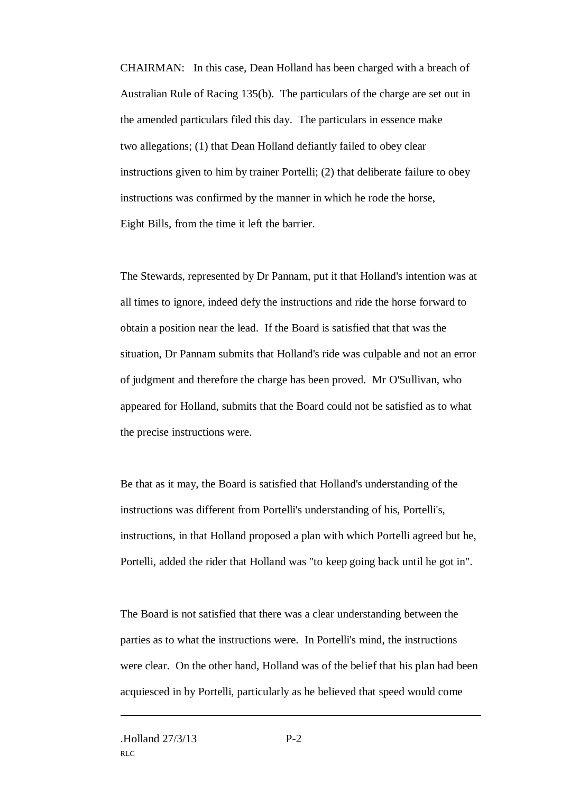CHAIRMAN: In this case, Dean Holland has been charged with a breach of Australian Rule of Racing 135(b). The particulars of the charge are set out in the amended particulars filed this day. The particulars in essence make two allegations; (1) that Dean Holland defiantly failed to obey clear instructions given to him by trainer Portelli; (2) that deliberate failure to obey instructions was confirmed by the manner in which he rode the horse, Eight Bills, from the time it left the barrier.

The Stewards, represented by Dr Pannam, put it that Holland's intention was at all times to ignore, indeed defy the instructions and ride the horse forward to obtain a position near the lead. If the Board is satisfied that that was the situation, Dr Pannam submits that Holland's ride was culpable and not an error of judgment and therefore the charge has been proved. Mr O'Sullivan, who appeared for Holland, submits that the Board could not be satisfied as to what the precise instructions were.

Be that as it may, the Board is satisfied that Holland's understanding of the instructions was different from Portelli's understanding of his, Portelli's, instructions, in that Holland proposed a plan with which Portelli agreed but he, Portelli, added the rider that Holland was "to keep going back until he got in".

The Board is not satisfied that there was a clear understanding between the parties as to what the instructions were. In Portelli's mind, the instructions were clear. On the other hand, Holland was of the belief that his plan had been acquiesced in by Portelli, particularly as he believed that speed would come